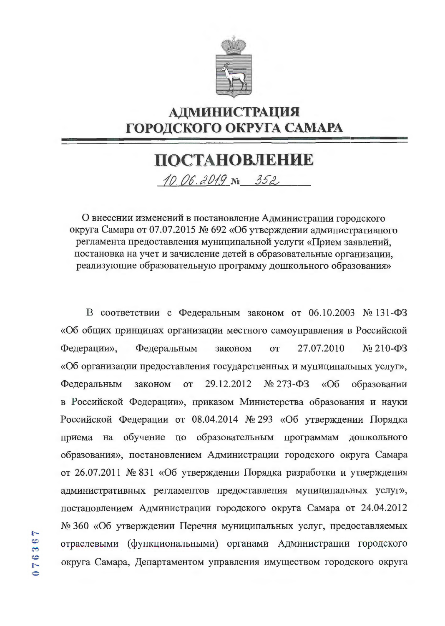

## **АДМИНИСТРАЦИЯ** ГОРОДСКОГО ОКРУГА САМАРА

## ПОСТАНОВЛЕНИЕ

10.06.2019 No 352

О внесении изменений в постановление Администрации городского округа Самара от 07.07.2015 № 692 «Об утверждении административного регламента предоставления муниципальной услуги «Прием заявлений, постановка на учет и зачисление детей в образовательные организации, реализующие образовательную программу дошкольного образования»

В соответствии с Федеральным законом от 06.10.2003 № 131-ФЗ «Об общих принципах организации местного самоуправления в Российской 27.07.2010  $\mathcal{N}$ <sup>0</sup> 210- $\Phi$ 3 Федерации», Федеральным **OT** законом «Об организации предоставления государственных и муниципальных услуг», 29.12.2012  $N_2$  273- $\Phi$ 3 Федеральным законом **OT**  $\triangleleft$ Oб образовании в Российской Федерации», приказом Министерства образования и науки Российской Федерации от 08.04.2014 № 293 «Об утверждении Порядка на обучение по образовательным программам приема дошкольного образования», постановлением Администрации городского округа Самара от 26.07.2011 № 831 «Об утверждении Порядка разработки и утверждения административных регламентов предоставления муниципальных услуг», постановлением Администрации городского округа Самара от 24.04.2012 № 360 «Об утверждении Перечня муниципальных услуг, предоставляемых отраслевыми (функциональными) органами Администрации городского округа Самара, Департаментом управления имуществом городского округа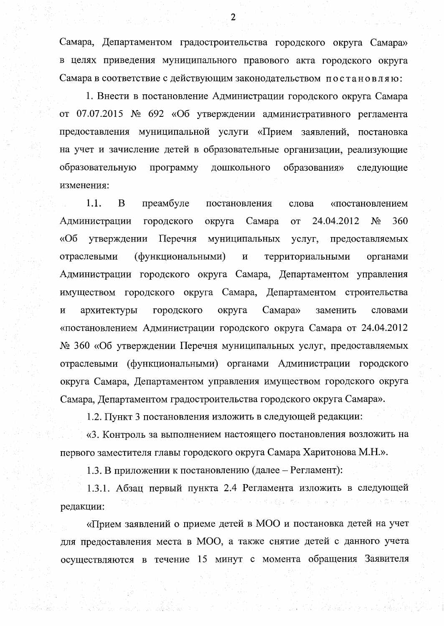Самара, Департаментом градостроительства городского округа Самара» в целях приведения муниципального правового акта городского округа Самара в соответствие с действующим законодательством постановляю:

1. Внести в постановление Администрации городского округа Самара от 07.07.2015 № 692 «Об утверждении административного регламента предоставления муниципальной услуги «Прием заявлений, постановка на учет и зачисление детей в образовательные организации, реализующие образовательную программу дошкольного образования» следующие изменения:

1.1. B преамбуле постановления слова «постановлением  $N_2$ Администрации городского округа Самара 24.04.2012 360 **OT**  $\triangleleft$ Oб Перечня утверждении муниципальных услуг, предоставляемых (функциональными)  $\mathbf H$ отраслевыми территориальными органами Администрации городского округа Самара, Департаментом управления имуществом городского округа Самара, Департаментом строительства Самара» архитектуры городского округа заменить словами  $\boldsymbol{\mathrm{M}}$ «постановлением Администрации городского округа Самара от 24.04.2012 № 360 «Об утверждении Перечня муниципальных услуг, предоставляемых отраслевыми (функциональными) органами Администрации городского округа Самара, Департаментом управления имуществом городского округа Самара, Департаментом градостроительства городского округа Самара».

1.2. Пункт 3 постановления изложить в следующей редакции:

«3. Контроль за выполнением настоящего постановления возложить на первого заместителя главы городского округа Самара Харитонова М.Н.».

1.3. В приложении к постановлению (далее – Регламент):

1.3.1. Абзац первый пункта 2.4 Регламента изложить в следующей редакции:

«Прием заявлений о приеме детей в МОО и постановка детей на учет для предоставления места в МОО, а также снятие детей с данного учета осуществляются в течение 15 минут с момента обращения Заявителя

 $\overline{2}$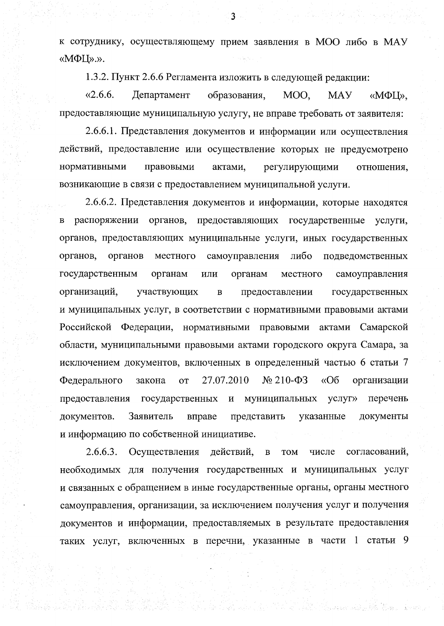к сотруднику, осуществляющему прием заявления в МОО либо в МАУ «MΦLI».».

1.3.2. Пункт 2.6.6 Регламента изложить в следующей редакции:

 $\&2.6.6.$ образования, Департамент MOO. **MAY** «МФЦ». предоставляющие муниципальную услугу, не вправе требовать от заявителя:

2.6.6.1. Представления документов и информации или осуществления действий, предоставление или осуществление которых не предусмотрено нормативными правовыми актами. регулирующими отношения, возникающие в связи с предоставлением муниципальной услуги.

2.6.6.2. Представления документов и информации, которые находятся распоряжении органов, предоставляющих государственные услуги,  $\, {\bf B}$ органов, предоставляющих муниципальные услуги, иных государственных самоуправления органов, органов местного либо подведомственных государственным органам или органам местного самоуправления организаций, участвующих предоставлении  $\, {\bf B}$ государственных и муниципальных услуг, в соответствии с нормативными правовыми актами Российской Федерации, нормативными правовыми актами Самарской области, муниципальными правовыми актами городского округа Самара, за исключением документов, включенных в определенный частью 6 статьи 7  $N<sub>2</sub> 210- $\Phi$ 3$  $\langle \langle$ Oб Федерального 27.07.2010 организации закона **OT** предоставления государственных и муниципальных услуг» перечень Заявитель указанные документов. вправе представить документы и информацию по собственной инициативе.

 $2.6.6.3.$ согласований, Осуществления действий,  $\, {\bf B}$ **TOM** числе необходимых для получения государственных и муниципальных услуг и связанных с обращением в иные государственные органы, органы местного самоуправления, организации, за исключением получения услуг и получения документов и информации, предоставляемых в результате предоставления таких услуг, включенных в перечни, указанные в части 1 статьи 9

Pingapuan adalah Kit

3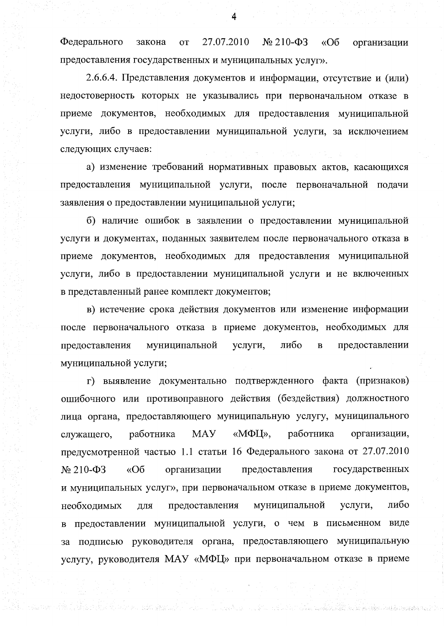Федерального закона **OT** 27.07.2010  $\mathcal{N}$ <sup>210- $\Phi$ 3</sup>  $\langle \langle$  O<sub>6</sub> организации предоставления государственных и муниципальных услуг».

2.6.6.4. Представления документов и информации, отсутствие и (или) недостоверность которых не указывались при первоначальном отказе в приеме документов, необходимых для предоставления муниципальной услуги, либо в предоставлении муниципальной услуги, за исключением следующих случаев:

а) изменение требований нормативных правовых актов, касающихся предоставления муниципальной услуги, после первоначальной подачи заявления о предоставлении муниципальной услуги;

б) наличие ошибок в заявлении о предоставлении муниципальной услуги и документах, поданных заявителем после первоначального отказа в приеме документов, необходимых для предоставления муниципальной услуги, либо в предоставлении муниципальной услуги и не включенных в представленный ранее комплект документов;

в) истечение срока действия документов или изменение информации после первоначального отказа в приеме документов, необходимых для муниципальной либо предоставлении предоставления услуги,  $\overline{B}$ муниципальной услуги;

г) выявление документально подтвержденного факта (признаков) ошибочного или противоправного действия (бездействия) должностного лица органа, предоставляющего муниципальную услугу, муниципального **MAY** «МФЦ». работника работника организации, служащего, предусмотренной частью 1.1 статьи 16 Федерального закона от 27.07.2010  $\triangleleft$ Oб государственных  $\mathcal{N}$ <sup>210- $\Phi$ 3</sup> организации предоставления и муниципальных услуг», при первоначальном отказе в приеме документов, либо муниципальной услуги, необходимых предоставления для предоставлении муниципальной услуги, о чем в письменном виде  $\bf{B}$ за подписью руководителя органа, предоставляющего муниципальную услугу, руководителя МАУ «МФЦ» при первоначальном отказе в приеме

ill a status a collain a talabar ann an seachair an mar air an chomain.

na shi kiloga katika na matakata hiyo ka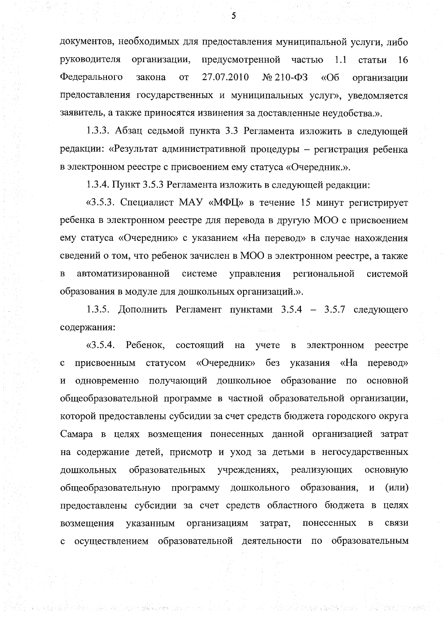документов, необходимых для предоставления муниципальной услуги, либо руководителя организации, предусмотренной частью  $1.1$ статьи 16 Федерального 27.07.2010  $\frac{N_2}{210 - \Phi_3}$  $\triangleleft$ Oб закона **OT** организации предоставления государственных и муниципальных услуг», уведомляется заявитель, а также приносятся извинения за доставленные неудобства.».

1.3.3. Абзац седьмой пункта 3.3 Регламента изложить в следующей редакции: «Результат административной процедуры - регистрация ребенка в электронном реестре с присвоением ему статуса «Очередник.».

1.3.4. Пункт 3.5.3 Регламента изложить в следующей редакции:

«3.5.3. Специалист МАУ «МФЦ» в течение 15 минут регистрирует ребенка в электронном реестре для перевода в другую МОО с присвоением ему статуса «Очередник» с указанием «На перевод» в случае нахождения сведений о том, что ребенок зачислен в МОО в электронном реестре, а также автоматизированной системе региональной  $\, {\bf B}$ управления системой образования в модуле для дошкольных организаций.».

1.3.5. Дополнить Регламент пунктами 3.5.4 - 3.5.7 следующего содержания:

 $\langle 3.5.4.$ Ребенок, состоящий на учете  $\, {\bf B} \,$ электронном реестре статусом «Очередник» без указания «Ha присвоенным перевод»  $\mathbf c$ одновременно получающий дошкольное образование по основной  $\mathbf H$ общеобразовательной программе в частной образовательной организации, которой предоставлены субсидии за счет средств бюджета городского округа Самара в целях возмещения понесенных данной организацией затрат на содержание детей, присмотр и уход за детьми в негосударственных образовательных учреждениях, реализующих ДОШКОЛЬНЫХ основную общеобразовательную программу дошкольного образования,  $\boldsymbol{\mathrm{M}}$  $(MJ)$ предоставлены субсидии за счет средств областного бюджета в целях возмещения организациям затрат, понесенных указанным  $\, {\bf B}$ связи осуществлением образовательной деятельности по образовательным  $\mathbf c$ 

t is a substant and the significant problem.

 $5\overline{)}$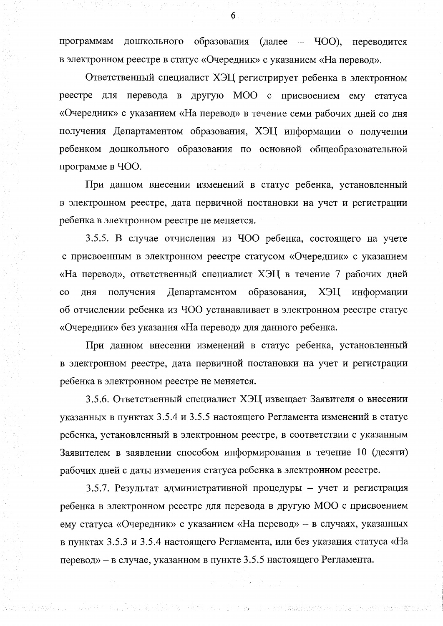$(Aa \text{Area} - \text{4OO}),$ программам дошкольного образования переводится в электронном реестре в статус «Очередник» с указанием «На перевод».

Ответственный специалист ХЭЦ регистрирует ребенка в электронном реестре для перевода в другую МОО с присвоением ему статуса «Очередник» с указанием «На перевод» в течение семи рабочих дней со дня получения Департаментом образования, ХЭЦ информации о получении ребенком дошкольного образования по основной общеобразовательной программе в ЧОО.

При данном внесении изменений в статус ребенка, установленный в электронном реестре, дата первичной постановки на учет и регистрации ребенка в электронном реестре не меняется.

3.5.5. В случае отчисления из ЧОО ребенка, состоящего на учете с присвоенным в электронном реестре статусом «Очередник» с указанием «На перевод», ответственный специалист ХЭЦ в течение 7 рабочих дней образования,  $\overline{c}$ дня получения Департаментом ХЭЦ информации об отчислении ребенка из ЧОО устанавливает в электронном реестре статус «Очередник» без указания «На перевод» для данного ребенка.

При данном внесении изменений в статус ребенка, установленный в электронном реестре, дата первичной постановки на учет и регистрации ребенка в электронном реестре не меняется.

3.5.6. Ответственный специалист ХЭЦ извещает Заявителя о внесении указанных в пунктах 3.5.4 и 3.5.5 настоящего Регламента изменений в статус ребенка, установленный в электронном реестре, в соответствии с указанным Заявителем в заявлении способом информирования в течение 10 (десяти) рабочих дней с даты изменения статуса ребенка в электронном реестре.

3.5.7. Результат административной процедуры - учет и регистрация ребенка в электронном реестре для перевода в другую МОО с присвоением ему статуса «Очередник» с указанием «На перевод» - в случаях, указанных в пунктах 3.5.3 и 3.5.4 настоящего Регламента, или без указания статуса «На перевод» - в случае, указанном в пункте 3.5.5 настоящего Регламента.

Delgarak selala adalah selam masa mengambang mengambang kalangan pada tahun 1990 dan tahun 1990.<br>Sebagai dalam kalendar dan mengantakan dan mengantakan dan mengantakan dan mengantakan dan mengantakan dan kal

6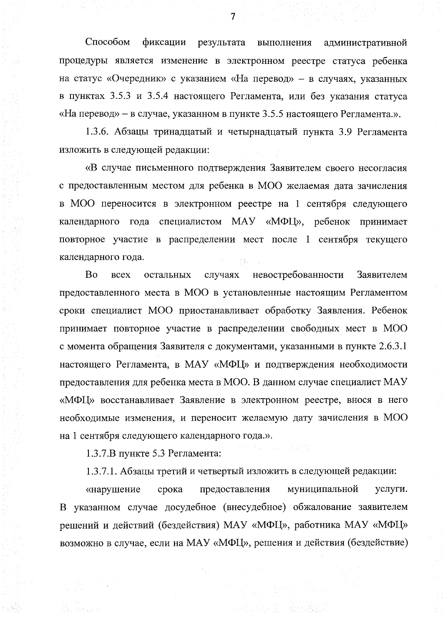Способом фиксации результата выполнения административной процедуры является изменение в электронном реестре статуса ребенка на статус «Очередник» с указанием «На перевод» - в случаях, указанных в пунктах 3.5.3 и 3.5.4 настоящего Регламента, или без указания статуса «На перевод» – в случае, указанном в пункте 3.5.5 настоящего Регламента.».

1.3.6. Абзацы тринадцатый и четырнадцатый пункта 3.9 Регламента изложить в следующей редакции:

«В случае письменного подтверждения Заявителем своего несогласия с предоставленным местом для ребенка в МОО желаемая дата зачисления в МОО переносится в электронном реестре на 1 сентября следующего календарного года специалистом МАУ «МФЦ», ребенок принимает повторное участие в распределении мест после 1 сентября текущего календарного года.

Bo невостребованности случаях Заявителем **BCCX** остальных предоставленного места в МОО в установленные настоящим Регламентом сроки специалист МОО приостанавливает обработку Заявления. Ребенок принимает повторное участие в распределении свободных мест в МОО с момента обращения Заявителя с документами, указанными в пункте 2.6.3.1 настоящего Регламента, в МАУ «МФЦ» и подтверждения необходимости предоставления для ребенка места в МОО. В данном случае специалист МАУ «МФЦ» восстанавливает Заявление в электронном реестре, внося в него необходимые изменения, и переносит желаемую дату зачисления в МОО на 1 сентября следующего календарного года.».

1.3.7.В пункте 5.3 Регламента:

1.3.7.1. Абзацы третий и четвертый изложить в следующей редакции:

муниципальной «нарушение срока предоставления услуги. В указанном случае досудебное (внесудебное) обжалование заявителем решений и действий (бездействия) МАУ «МФЦ», работника МАУ «МФЦ» возможно в случае, если на МАУ «МФЦ», решения и действия (бездействие)

 $\overline{7}$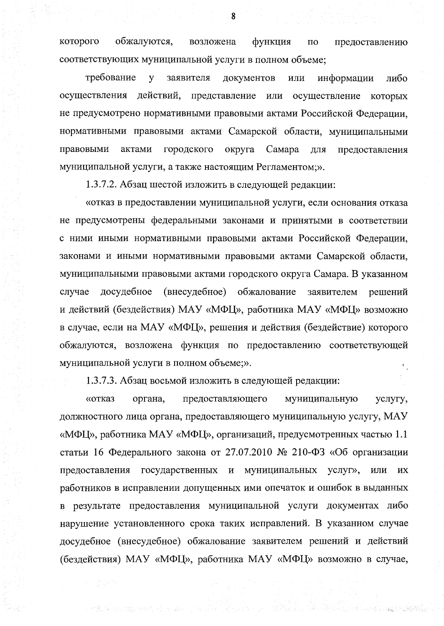которого обжалуются, возложена функция  $\Pi$ <sup>O</sup> предоставлению соответствующих муниципальной услуги в полном объеме;

требование заявителя  $\mathbf{y}$ документов или информации либо осуществления действий, представление ИЛИ осуществление которых не предусмотрено нормативными правовыми актами Российской Федерации, нормативными правовыми актами Самарской области, муниципальными актами правовыми городского округа Самара для предоставления муниципальной услуги, а также настоящим Регламентом;».

1.3.7.2. Абзац шестой изложить в следующей редакции:

«отказ в предоставлении муниципальной услуги, если основания отказа не предусмотрены федеральными законами и принятыми в соответствии с ними иными нормативными правовыми актами Российской Федерации, законами и иными нормативными правовыми актами Самарской области, муниципальными правовыми актами городского округа Самара. В указанном случае досудебное (внесудебное) обжалование заявителем решений и действий (бездействия) МАУ «МФЦ», работника МАУ «МФЦ» возможно в случае, если на МАУ «МФЦ», решения и действия (бездействие) которого обжалуются, возложена функция по предоставлению соответствующей муниципальной услуги в полном объеме;».

1.3.7.3. Абзац восьмой изложить в следующей редакции:

the state of the state of the state of the state of the state of the state of the state of the state of the state of the state of the state of the state of the state of the state of the state of the state of the state of t

«отказ предоставляющего муниципальную органа, услугу, должностного лица органа, предоставляющего муниципальную услугу, МАУ «МФЦ», работника МАУ «МФЦ», организаций, предусмотренных частью 1.1 статьи 16 Федерального закона от 27.07.2010 № 210-ФЗ «Об организации предоставления государственных и муниципальных услуг», или **HX** работников в исправлении допущенных ими опечаток и ошибок в выданных в результате предоставления муниципальной услуги документах либо нарушение установленного срока таких исправлений. В указанном случае досудебное (внесудебное) обжалование заявителем решений и действий (бездействия) МАУ «МФЦ», работника МАУ «МФЦ» возможно в случае,

An address to king a

 $\mathbf{g}$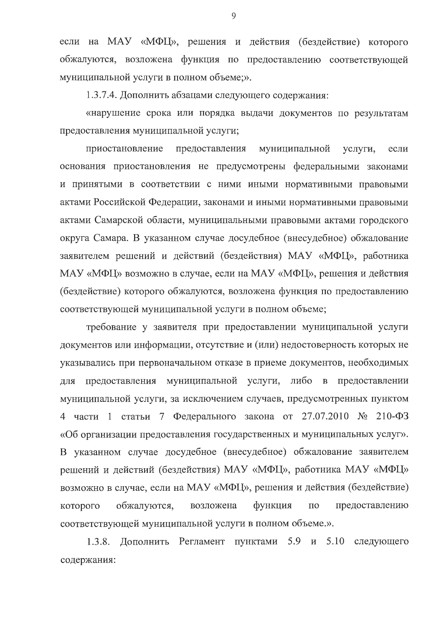если на МАУ «МФЦ», решения и действия (бездействие) которого обжалуются, возложена функция по предоставлению соответствующей муниципальной услуги в полном объеме;».

1.3.7.4. Дополнить абзацами следующего содержания:

«нарушение срока или порядка выдачи документов по результатам предоставления муниципальной услуги;

приостановление предоставления муниципальной услуги, если основания приостановления не предусмотрены федеральными законами и принятыми в соответствии с ними иными нормативными правовыми актами Российской Федерации, законами и иными нормативными правовыми актами Самарской области, муниципальными правовыми актами городского округа Самара. В указанном случае досудебное (внесудебное) обжалование заявителем решений и действий (бездействия) МАУ «МФЦ», работника МАУ «МФЦ» возможно в случае, если на МАУ «МФЦ», решения и действия (бездействие) которого обжалуются, возложена функция по предоставлению соответствующей муниципальной услуги в полном объеме;

требование у заявителя при предоставлении муниципальной услуги документов или информации, отсутствие и (или) недостоверность которых не указывались при первоначальном отказе в приеме документов, необходимых предоставления муниципальной услуги, либо в предоставлении ДЛЯ муниципальной услуги, за исключением случаев, предусмотренных пунктом 4 части 1 статьи 7 Федерального закона от 27.07.2010 № 210-ФЗ «Об организации предоставления государственных и муниципальных услуг». В указанном случае досудебное (внесудебное) обжалование заявителем решений и действий (бездействия) МАУ «МФЦ», работника МАУ «МФЦ» возможно в случае, если на МАУ «МФЦ», решения и действия (бездействие) функция предоставлению которого обжалуются, возложена  $\Pi$ O соответствующей муниципальной услуги в полном объеме.».

Дополнить Регламент пунктами 5.9 и  $1.3.8.$ 5.10 следующего содержания:

9